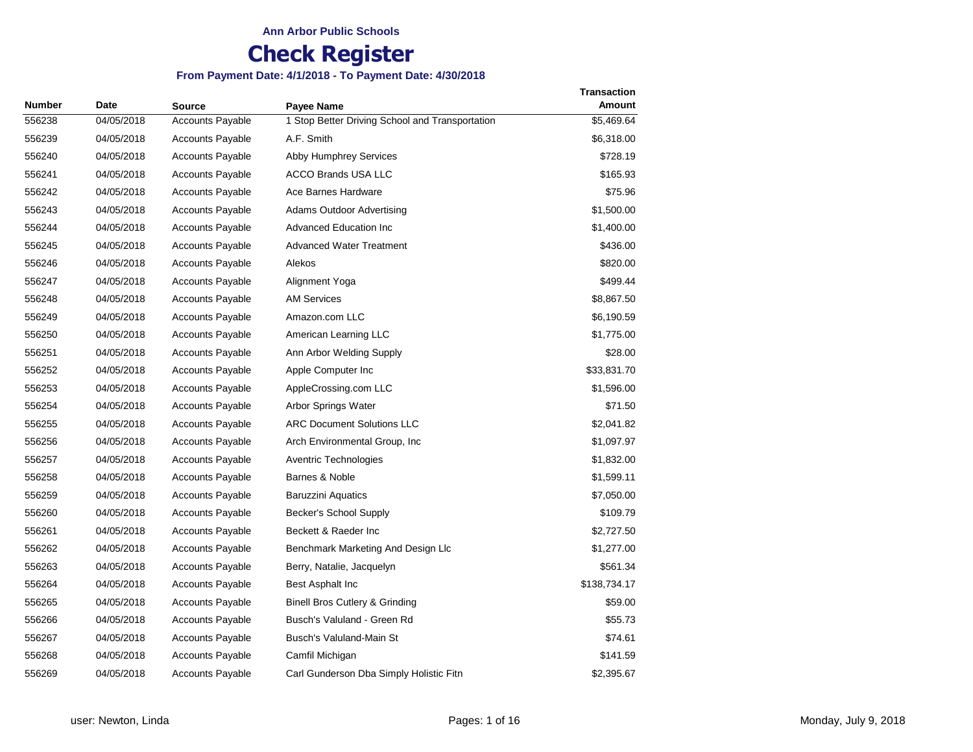| <b>Number</b> | <b>Date</b> | Source                  | Payee Name                                      | <b>Transaction</b><br><b>Amount</b> |
|---------------|-------------|-------------------------|-------------------------------------------------|-------------------------------------|
| 556238        | 04/05/2018  | Accounts Payable        | 1 Stop Better Driving School and Transportation | \$5,469.64                          |
| 556239        | 04/05/2018  | <b>Accounts Payable</b> | A.F. Smith                                      | \$6,318.00                          |
| 556240        | 04/05/2018  | <b>Accounts Payable</b> | <b>Abby Humphrey Services</b>                   | \$728.19                            |
| 556241        | 04/05/2018  | <b>Accounts Payable</b> | <b>ACCO Brands USA LLC</b>                      | \$165.93                            |
| 556242        | 04/05/2018  | <b>Accounts Payable</b> | Ace Barnes Hardware                             | \$75.96                             |
| 556243        | 04/05/2018  | <b>Accounts Payable</b> | Adams Outdoor Advertising                       | \$1,500.00                          |
| 556244        | 04/05/2018  | <b>Accounts Payable</b> | <b>Advanced Education Inc</b>                   | \$1,400.00                          |
| 556245        | 04/05/2018  | <b>Accounts Payable</b> | <b>Advanced Water Treatment</b>                 | \$436.00                            |
| 556246        | 04/05/2018  | <b>Accounts Payable</b> | Alekos                                          | \$820.00                            |
| 556247        | 04/05/2018  | <b>Accounts Payable</b> | Alignment Yoga                                  | \$499.44                            |
| 556248        | 04/05/2018  | <b>Accounts Payable</b> | <b>AM Services</b>                              | \$8,867.50                          |
| 556249        | 04/05/2018  | <b>Accounts Payable</b> | Amazon.com LLC                                  | \$6,190.59                          |
| 556250        | 04/05/2018  | <b>Accounts Payable</b> | American Learning LLC                           | \$1,775.00                          |
| 556251        | 04/05/2018  | <b>Accounts Payable</b> | Ann Arbor Welding Supply                        | \$28.00                             |
| 556252        | 04/05/2018  | <b>Accounts Payable</b> | Apple Computer Inc                              | \$33,831.70                         |
| 556253        | 04/05/2018  | <b>Accounts Payable</b> | AppleCrossing.com LLC                           | \$1,596.00                          |
| 556254        | 04/05/2018  | <b>Accounts Payable</b> | Arbor Springs Water                             | \$71.50                             |
| 556255        | 04/05/2018  | <b>Accounts Payable</b> | <b>ARC Document Solutions LLC</b>               | \$2,041.82                          |
| 556256        | 04/05/2018  | <b>Accounts Payable</b> | Arch Environmental Group, Inc.                  | \$1,097.97                          |
| 556257        | 04/05/2018  | <b>Accounts Payable</b> | Aventric Technologies                           | \$1,832.00                          |
| 556258        | 04/05/2018  | Accounts Payable        | Barnes & Noble                                  | \$1,599.11                          |
| 556259        | 04/05/2018  | <b>Accounts Payable</b> | <b>Baruzzini Aquatics</b>                       | \$7,050.00                          |
| 556260        | 04/05/2018  | <b>Accounts Payable</b> | Becker's School Supply                          | \$109.79                            |
| 556261        | 04/05/2018  | <b>Accounts Payable</b> | Beckett & Raeder Inc.                           | \$2,727.50                          |
| 556262        | 04/05/2018  | <b>Accounts Payable</b> | Benchmark Marketing And Design Llc              | \$1,277.00                          |
| 556263        | 04/05/2018  | <b>Accounts Payable</b> | Berry, Natalie, Jacquelyn                       | \$561.34                            |
| 556264        | 04/05/2018  | <b>Accounts Payable</b> | Best Asphalt Inc                                | \$138,734.17                        |
| 556265        | 04/05/2018  | <b>Accounts Payable</b> | Binell Bros Cutlery & Grinding                  | \$59.00                             |
| 556266        | 04/05/2018  | <b>Accounts Payable</b> | Busch's Valuland - Green Rd                     | \$55.73                             |
| 556267        | 04/05/2018  | <b>Accounts Payable</b> | Busch's Valuland-Main St                        | \$74.61                             |
| 556268        | 04/05/2018  | <b>Accounts Payable</b> | Camfil Michigan                                 | \$141.59                            |
| 556269        | 04/05/2018  | <b>Accounts Payable</b> | Carl Gunderson Dba Simply Holistic Fitn         | \$2,395.67                          |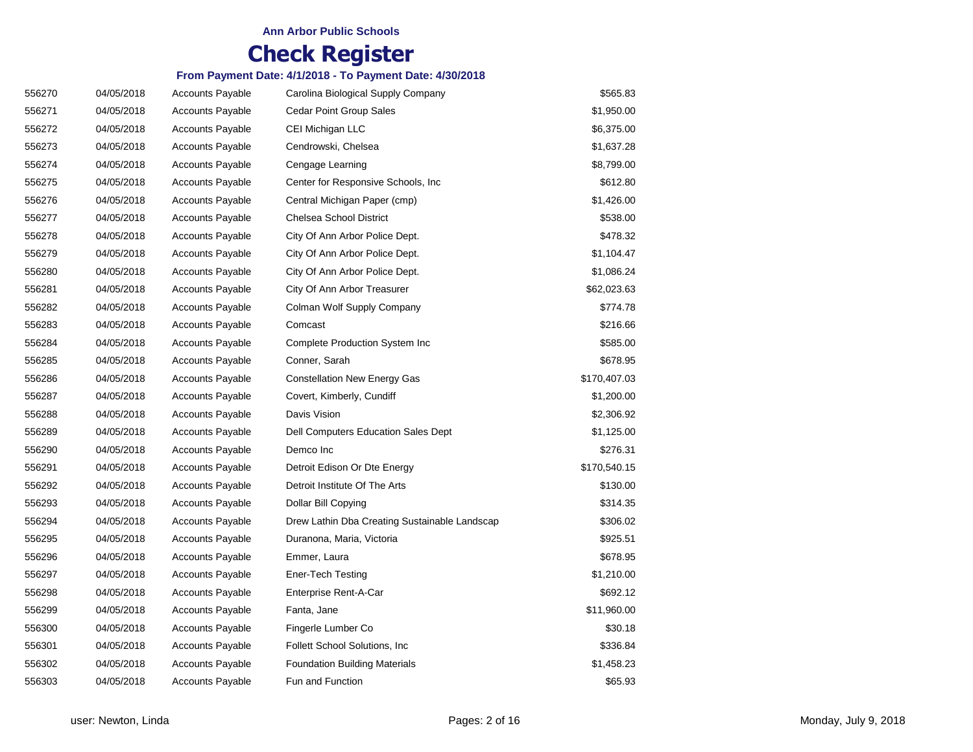| 556270 | 04/05/2018 | <b>Accounts Payable</b> | Carolina Biological Supply Company            | \$565.83     |
|--------|------------|-------------------------|-----------------------------------------------|--------------|
| 556271 | 04/05/2018 | <b>Accounts Payable</b> | Cedar Point Group Sales                       | \$1,950.00   |
| 556272 | 04/05/2018 | <b>Accounts Payable</b> | CEI Michigan LLC                              | \$6,375.00   |
| 556273 | 04/05/2018 | <b>Accounts Payable</b> | Cendrowski, Chelsea                           | \$1,637.28   |
| 556274 | 04/05/2018 | <b>Accounts Payable</b> | Cengage Learning                              | \$8,799.00   |
| 556275 | 04/05/2018 | <b>Accounts Payable</b> | Center for Responsive Schools, Inc.           | \$612.80     |
| 556276 | 04/05/2018 | <b>Accounts Payable</b> | Central Michigan Paper (cmp)                  | \$1,426.00   |
| 556277 | 04/05/2018 | <b>Accounts Payable</b> | Chelsea School District                       | \$538.00     |
| 556278 | 04/05/2018 | <b>Accounts Payable</b> | City Of Ann Arbor Police Dept.                | \$478.32     |
| 556279 | 04/05/2018 | <b>Accounts Payable</b> | City Of Ann Arbor Police Dept.                | \$1,104.47   |
| 556280 | 04/05/2018 | <b>Accounts Payable</b> | City Of Ann Arbor Police Dept.                | \$1,086.24   |
| 556281 | 04/05/2018 | <b>Accounts Payable</b> | City Of Ann Arbor Treasurer                   | \$62,023.63  |
| 556282 | 04/05/2018 | <b>Accounts Payable</b> | Colman Wolf Supply Company                    | \$774.78     |
| 556283 | 04/05/2018 | <b>Accounts Payable</b> | Comcast                                       | \$216.66     |
| 556284 | 04/05/2018 | <b>Accounts Payable</b> | <b>Complete Production System Inc</b>         | \$585.00     |
| 556285 | 04/05/2018 | <b>Accounts Payable</b> | Conner, Sarah                                 | \$678.95     |
| 556286 | 04/05/2018 | <b>Accounts Payable</b> | <b>Constellation New Energy Gas</b>           | \$170,407.03 |
| 556287 | 04/05/2018 | <b>Accounts Payable</b> | Covert, Kimberly, Cundiff                     | \$1,200.00   |
| 556288 | 04/05/2018 | <b>Accounts Payable</b> | Davis Vision                                  | \$2,306.92   |
| 556289 | 04/05/2018 | <b>Accounts Payable</b> | Dell Computers Education Sales Dept           | \$1,125.00   |
| 556290 | 04/05/2018 | <b>Accounts Payable</b> | Demco Inc                                     | \$276.31     |
| 556291 | 04/05/2018 | <b>Accounts Payable</b> | Detroit Edison Or Dte Energy                  | \$170,540.15 |
| 556292 | 04/05/2018 | <b>Accounts Payable</b> | Detroit Institute Of The Arts                 | \$130.00     |
| 556293 | 04/05/2018 | <b>Accounts Payable</b> | Dollar Bill Copying                           | \$314.35     |
| 556294 | 04/05/2018 | <b>Accounts Payable</b> | Drew Lathin Dba Creating Sustainable Landscap | \$306.02     |
| 556295 | 04/05/2018 | <b>Accounts Payable</b> | Duranona, Maria, Victoria                     | \$925.51     |
| 556296 | 04/05/2018 | <b>Accounts Payable</b> | Emmer, Laura                                  | \$678.95     |
| 556297 | 04/05/2018 | <b>Accounts Payable</b> | Ener-Tech Testing                             | \$1,210.00   |
| 556298 | 04/05/2018 | <b>Accounts Payable</b> | Enterprise Rent-A-Car                         | \$692.12     |
| 556299 | 04/05/2018 | <b>Accounts Payable</b> | Fanta, Jane                                   | \$11,960.00  |
| 556300 | 04/05/2018 | <b>Accounts Payable</b> | Fingerle Lumber Co                            | \$30.18      |
| 556301 | 04/05/2018 | <b>Accounts Payable</b> | Follett School Solutions, Inc.                | \$336.84     |
| 556302 | 04/05/2018 | <b>Accounts Payable</b> | <b>Foundation Building Materials</b>          | \$1,458.23   |
| 556303 | 04/05/2018 | <b>Accounts Payable</b> | Fun and Function                              | \$65.93      |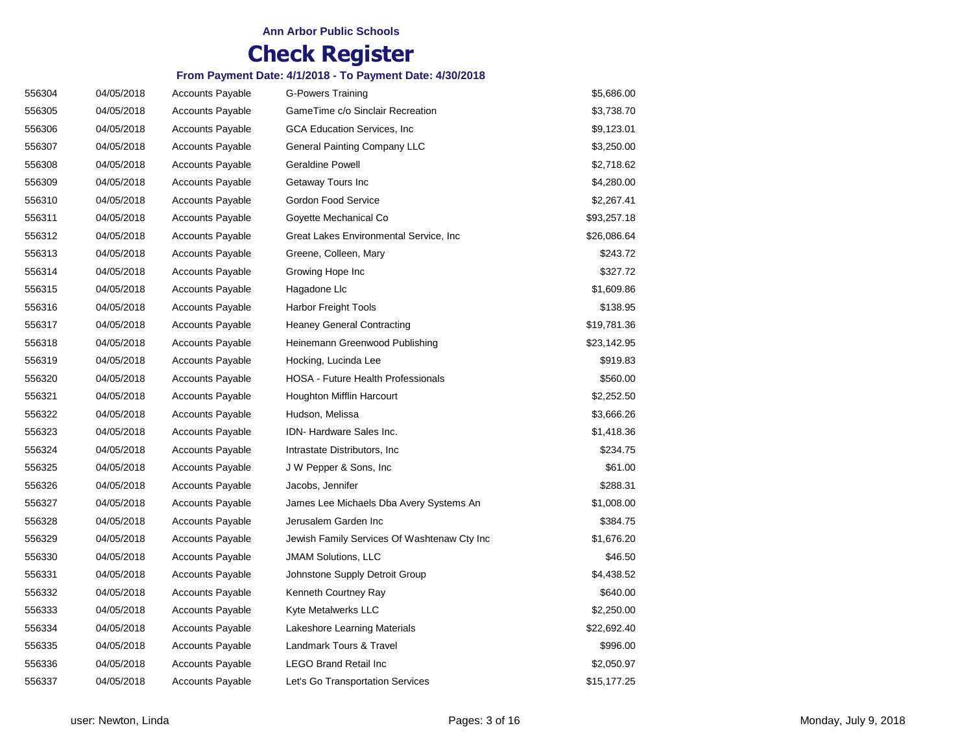| 556304 | 04/05/2018 | <b>Accounts Payable</b> | G-Powers Training                           | \$5,686.00  |
|--------|------------|-------------------------|---------------------------------------------|-------------|
| 556305 | 04/05/2018 | <b>Accounts Payable</b> | GameTime c/o Sinclair Recreation            | \$3,738.70  |
| 556306 | 04/05/2018 | <b>Accounts Payable</b> | <b>GCA Education Services, Inc.</b>         | \$9,123.01  |
| 556307 | 04/05/2018 | <b>Accounts Payable</b> | General Painting Company LLC                | \$3,250.00  |
| 556308 | 04/05/2018 | <b>Accounts Payable</b> | <b>Geraldine Powell</b>                     | \$2,718.62  |
| 556309 | 04/05/2018 | <b>Accounts Payable</b> | Getaway Tours Inc                           | \$4,280.00  |
| 556310 | 04/05/2018 | <b>Accounts Payable</b> | Gordon Food Service                         | \$2,267.41  |
| 556311 | 04/05/2018 | <b>Accounts Payable</b> | Goyette Mechanical Co                       | \$93,257.18 |
| 556312 | 04/05/2018 | <b>Accounts Payable</b> | Great Lakes Environmental Service, Inc.     | \$26,086.64 |
| 556313 | 04/05/2018 | <b>Accounts Payable</b> | Greene, Colleen, Mary                       | \$243.72    |
| 556314 | 04/05/2018 | <b>Accounts Payable</b> | Growing Hope Inc                            | \$327.72    |
| 556315 | 04/05/2018 | <b>Accounts Payable</b> | Hagadone Llc                                | \$1,609.86  |
| 556316 | 04/05/2018 | <b>Accounts Payable</b> | Harbor Freight Tools                        | \$138.95    |
| 556317 | 04/05/2018 | <b>Accounts Payable</b> | <b>Heaney General Contracting</b>           | \$19,781.36 |
| 556318 | 04/05/2018 | <b>Accounts Payable</b> | Heinemann Greenwood Publishing              | \$23,142.95 |
| 556319 | 04/05/2018 | <b>Accounts Payable</b> | Hocking, Lucinda Lee                        | \$919.83    |
| 556320 | 04/05/2018 | <b>Accounts Payable</b> | HOSA - Future Health Professionals          | \$560.00    |
| 556321 | 04/05/2018 | <b>Accounts Payable</b> | Houghton Mifflin Harcourt                   | \$2,252.50  |
| 556322 | 04/05/2018 | <b>Accounts Payable</b> | Hudson, Melissa                             | \$3,666.26  |
| 556323 | 04/05/2018 | <b>Accounts Payable</b> | <b>IDN-Hardware Sales Inc.</b>              | \$1,418.36  |
| 556324 | 04/05/2018 | <b>Accounts Payable</b> | Intrastate Distributors, Inc.               | \$234.75    |
| 556325 | 04/05/2018 | <b>Accounts Payable</b> | J W Pepper & Sons, Inc.                     | \$61.00     |
| 556326 | 04/05/2018 | <b>Accounts Payable</b> | Jacobs, Jennifer                            | \$288.31    |
| 556327 | 04/05/2018 | <b>Accounts Payable</b> | James Lee Michaels Dba Avery Systems An     | \$1,008.00  |
| 556328 | 04/05/2018 | <b>Accounts Payable</b> | Jerusalem Garden Inc                        | \$384.75    |
| 556329 | 04/05/2018 | <b>Accounts Payable</b> | Jewish Family Services Of Washtenaw Cty Inc | \$1,676.20  |
| 556330 | 04/05/2018 | <b>Accounts Payable</b> | <b>JMAM Solutions, LLC</b>                  | \$46.50     |
| 556331 | 04/05/2018 | Accounts Payable        | Johnstone Supply Detroit Group              | \$4,438.52  |
| 556332 | 04/05/2018 | <b>Accounts Payable</b> | Kenneth Courtney Ray                        | \$640.00    |
| 556333 | 04/05/2018 | <b>Accounts Payable</b> | Kyte Metalwerks LLC                         | \$2,250.00  |
| 556334 | 04/05/2018 | <b>Accounts Payable</b> | Lakeshore Learning Materials                | \$22,692.40 |
| 556335 | 04/05/2018 | <b>Accounts Payable</b> | Landmark Tours & Travel                     | \$996.00    |
| 556336 | 04/05/2018 | <b>Accounts Payable</b> | <b>LEGO Brand Retail Inc</b>                | \$2,050.97  |
| 556337 | 04/05/2018 | <b>Accounts Payable</b> | Let's Go Transportation Services            | \$15,177.25 |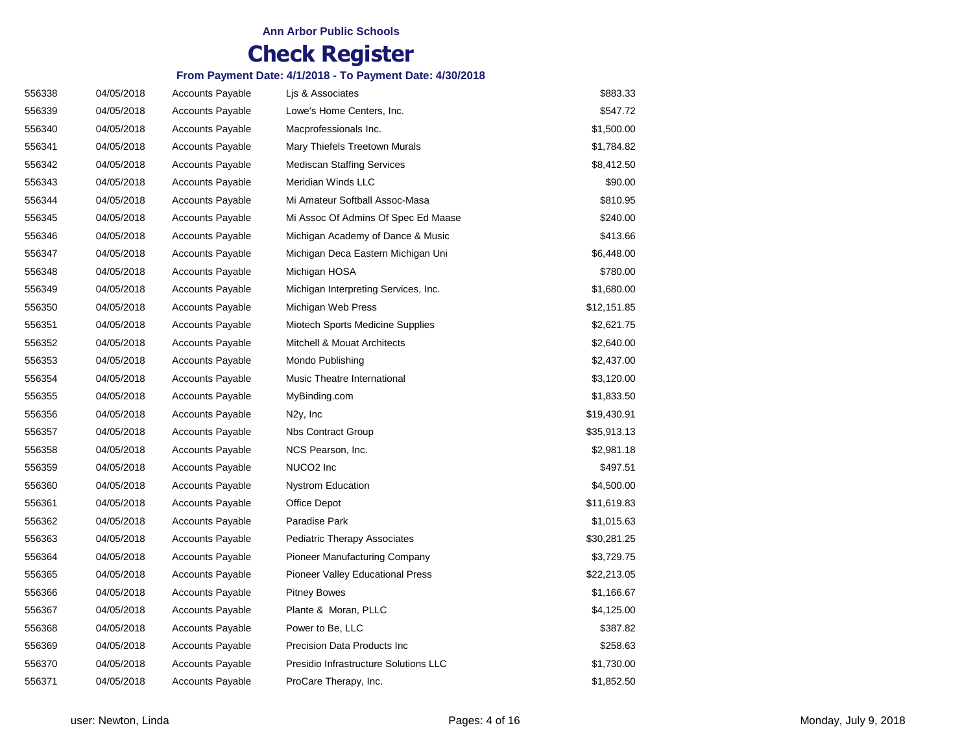| 556338 | 04/05/2018 | <b>Accounts Payable</b> | Lis & Associates                        | \$883.33    |
|--------|------------|-------------------------|-----------------------------------------|-------------|
| 556339 | 04/05/2018 | <b>Accounts Payable</b> | Lowe's Home Centers, Inc.               | \$547.72    |
| 556340 | 04/05/2018 | <b>Accounts Payable</b> | Macprofessionals Inc.                   | \$1,500.00  |
| 556341 | 04/05/2018 | <b>Accounts Payable</b> | Mary Thiefels Treetown Murals           | \$1,784.82  |
| 556342 | 04/05/2018 | <b>Accounts Payable</b> | <b>Mediscan Staffing Services</b>       | \$8,412.50  |
| 556343 | 04/05/2018 | <b>Accounts Payable</b> | Meridian Winds LLC                      | \$90.00     |
| 556344 | 04/05/2018 | <b>Accounts Payable</b> | Mi Amateur Softball Assoc-Masa          | \$810.95    |
| 556345 | 04/05/2018 | <b>Accounts Payable</b> | Mi Assoc Of Admins Of Spec Ed Maase     | \$240.00    |
| 556346 | 04/05/2018 | <b>Accounts Payable</b> | Michigan Academy of Dance & Music       | \$413.66    |
| 556347 | 04/05/2018 | <b>Accounts Payable</b> | Michigan Deca Eastern Michigan Uni      | \$6,448.00  |
| 556348 | 04/05/2018 | <b>Accounts Payable</b> | Michigan HOSA                           | \$780.00    |
| 556349 | 04/05/2018 | <b>Accounts Payable</b> | Michigan Interpreting Services, Inc.    | \$1,680.00  |
| 556350 | 04/05/2018 | <b>Accounts Payable</b> | Michigan Web Press                      | \$12,151.85 |
| 556351 | 04/05/2018 | <b>Accounts Payable</b> | Miotech Sports Medicine Supplies        | \$2,621.75  |
| 556352 | 04/05/2018 | <b>Accounts Payable</b> | Mitchell & Mouat Architects             | \$2,640.00  |
| 556353 | 04/05/2018 | <b>Accounts Payable</b> | Mondo Publishing                        | \$2,437.00  |
| 556354 | 04/05/2018 | <b>Accounts Payable</b> | Music Theatre International             | \$3,120.00  |
| 556355 | 04/05/2018 | <b>Accounts Payable</b> | MyBinding.com                           | \$1,833.50  |
| 556356 | 04/05/2018 | <b>Accounts Payable</b> | N <sub>2y</sub> , Inc                   | \$19,430.91 |
| 556357 | 04/05/2018 | <b>Accounts Payable</b> | <b>Nbs Contract Group</b>               | \$35,913.13 |
| 556358 | 04/05/2018 | <b>Accounts Payable</b> | NCS Pearson, Inc.                       | \$2,981.18  |
| 556359 | 04/05/2018 | <b>Accounts Payable</b> | NUCO <sub>2</sub> Inc                   | \$497.51    |
| 556360 | 04/05/2018 | <b>Accounts Payable</b> | <b>Nystrom Education</b>                | \$4,500.00  |
| 556361 | 04/05/2018 | <b>Accounts Payable</b> | Office Depot                            | \$11,619.83 |
| 556362 | 04/05/2018 | <b>Accounts Payable</b> | Paradise Park                           | \$1,015.63  |
| 556363 | 04/05/2018 | <b>Accounts Payable</b> | <b>Pediatric Therapy Associates</b>     | \$30,281.25 |
| 556364 | 04/05/2018 | <b>Accounts Payable</b> | Pioneer Manufacturing Company           | \$3,729.75  |
| 556365 | 04/05/2018 | <b>Accounts Payable</b> | <b>Pioneer Valley Educational Press</b> | \$22,213.05 |
| 556366 | 04/05/2018 | <b>Accounts Payable</b> | <b>Pitney Bowes</b>                     | \$1,166.67  |
| 556367 | 04/05/2018 | <b>Accounts Payable</b> | Plante & Moran, PLLC                    | \$4,125.00  |
| 556368 | 04/05/2018 | <b>Accounts Payable</b> | Power to Be, LLC                        | \$387.82    |
| 556369 | 04/05/2018 | <b>Accounts Payable</b> | Precision Data Products Inc             | \$258.63    |
| 556370 | 04/05/2018 | <b>Accounts Payable</b> | Presidio Infrastructure Solutions LLC   | \$1,730.00  |
| 556371 | 04/05/2018 | <b>Accounts Payable</b> | ProCare Therapy, Inc.                   | \$1,852.50  |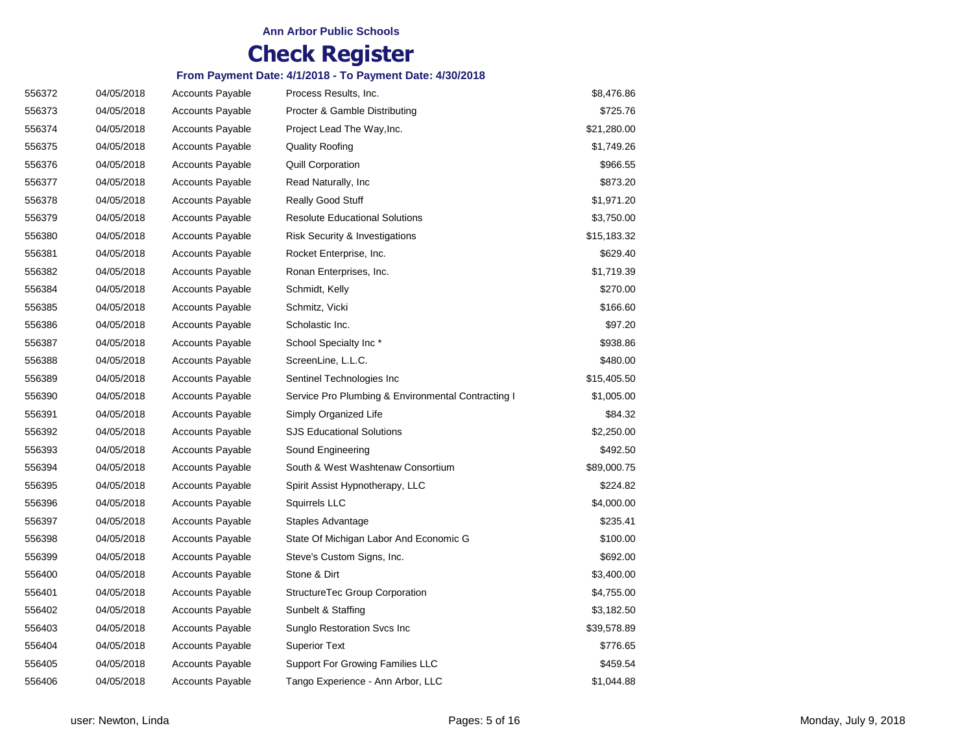| 556372 | 04/05/2018 | <b>Accounts Payable</b> | Process Results, Inc.                              | \$8,476.86  |
|--------|------------|-------------------------|----------------------------------------------------|-------------|
| 556373 | 04/05/2018 | <b>Accounts Payable</b> | Procter & Gamble Distributing                      | \$725.76    |
| 556374 | 04/05/2018 | <b>Accounts Payable</b> | Project Lead The Way, Inc.                         | \$21,280.00 |
| 556375 | 04/05/2018 | <b>Accounts Payable</b> | <b>Quality Roofing</b>                             | \$1,749.26  |
| 556376 | 04/05/2018 | <b>Accounts Payable</b> | <b>Quill Corporation</b>                           | \$966.55    |
| 556377 | 04/05/2018 | <b>Accounts Payable</b> | Read Naturally, Inc                                | \$873.20    |
| 556378 | 04/05/2018 | <b>Accounts Payable</b> | Really Good Stuff                                  | \$1,971.20  |
| 556379 | 04/05/2018 | <b>Accounts Payable</b> | <b>Resolute Educational Solutions</b>              | \$3,750.00  |
| 556380 | 04/05/2018 | <b>Accounts Payable</b> | Risk Security & Investigations                     | \$15,183.32 |
| 556381 | 04/05/2018 | <b>Accounts Payable</b> | Rocket Enterprise, Inc.                            | \$629.40    |
| 556382 | 04/05/2018 | <b>Accounts Payable</b> | Ronan Enterprises, Inc.                            | \$1,719.39  |
| 556384 | 04/05/2018 | <b>Accounts Payable</b> | Schmidt, Kelly                                     | \$270.00    |
| 556385 | 04/05/2018 | <b>Accounts Payable</b> | Schmitz, Vicki                                     | \$166.60    |
| 556386 | 04/05/2018 | <b>Accounts Payable</b> | Scholastic Inc.                                    | \$97.20     |
| 556387 | 04/05/2018 | <b>Accounts Payable</b> | School Specialty Inc*                              | \$938.86    |
| 556388 | 04/05/2018 | <b>Accounts Payable</b> | ScreenLine, L.L.C.                                 | \$480.00    |
| 556389 | 04/05/2018 | <b>Accounts Payable</b> | Sentinel Technologies Inc                          | \$15,405.50 |
| 556390 | 04/05/2018 | <b>Accounts Payable</b> | Service Pro Plumbing & Environmental Contracting I | \$1,005.00  |
| 556391 | 04/05/2018 | <b>Accounts Payable</b> | Simply Organized Life                              | \$84.32     |
| 556392 | 04/05/2018 | <b>Accounts Payable</b> | <b>SJS Educational Solutions</b>                   | \$2,250.00  |
| 556393 | 04/05/2018 | <b>Accounts Payable</b> | Sound Engineering                                  | \$492.50    |
| 556394 | 04/05/2018 | <b>Accounts Payable</b> | South & West Washtenaw Consortium                  | \$89,000.75 |
| 556395 | 04/05/2018 | <b>Accounts Payable</b> | Spirit Assist Hypnotherapy, LLC                    | \$224.82    |
| 556396 | 04/05/2018 | <b>Accounts Payable</b> | Squirrels LLC                                      | \$4,000.00  |
| 556397 | 04/05/2018 | <b>Accounts Payable</b> | Staples Advantage                                  | \$235.41    |
| 556398 | 04/05/2018 | <b>Accounts Payable</b> | State Of Michigan Labor And Economic G             | \$100.00    |
| 556399 | 04/05/2018 | <b>Accounts Payable</b> | Steve's Custom Signs, Inc.                         | \$692.00    |
| 556400 | 04/05/2018 | <b>Accounts Payable</b> | Stone & Dirt                                       | \$3,400.00  |
| 556401 | 04/05/2018 | <b>Accounts Payable</b> | StructureTec Group Corporation                     | \$4,755.00  |
| 556402 | 04/05/2018 | <b>Accounts Payable</b> | Sunbelt & Staffing                                 | \$3,182.50  |
| 556403 | 04/05/2018 | <b>Accounts Payable</b> | Sunglo Restoration Svcs Inc                        | \$39,578.89 |
| 556404 | 04/05/2018 | <b>Accounts Payable</b> | <b>Superior Text</b>                               | \$776.65    |
| 556405 | 04/05/2018 | <b>Accounts Payable</b> | Support For Growing Families LLC                   | \$459.54    |
| 556406 | 04/05/2018 | <b>Accounts Payable</b> | Tango Experience - Ann Arbor, LLC                  | \$1,044.88  |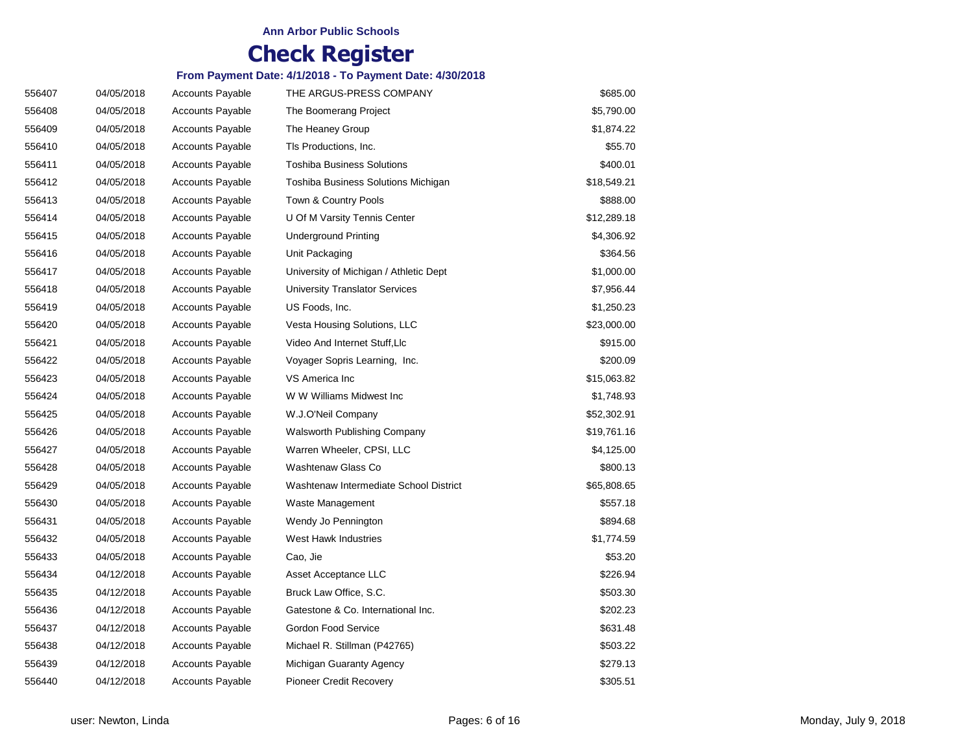| 556407 | 04/05/2018 | <b>Accounts Payable</b> | THE ARGUS-PRESS COMPANY                | \$685.00    |
|--------|------------|-------------------------|----------------------------------------|-------------|
| 556408 | 04/05/2018 | <b>Accounts Payable</b> | The Boomerang Project                  | \$5,790.00  |
| 556409 | 04/05/2018 | <b>Accounts Payable</b> | The Heaney Group                       | \$1,874.22  |
| 556410 | 04/05/2018 | <b>Accounts Payable</b> | TIs Productions, Inc.                  | \$55.70     |
| 556411 | 04/05/2018 | <b>Accounts Payable</b> | <b>Toshiba Business Solutions</b>      | \$400.01    |
| 556412 | 04/05/2018 | <b>Accounts Payable</b> | Toshiba Business Solutions Michigan    | \$18,549.21 |
| 556413 | 04/05/2018 | <b>Accounts Payable</b> | Town & Country Pools                   | \$888.00    |
| 556414 | 04/05/2018 | <b>Accounts Payable</b> | U Of M Varsity Tennis Center           | \$12,289.18 |
| 556415 | 04/05/2018 | <b>Accounts Payable</b> | <b>Underground Printing</b>            | \$4,306.92  |
| 556416 | 04/05/2018 | <b>Accounts Payable</b> | Unit Packaging                         | \$364.56    |
| 556417 | 04/05/2018 | <b>Accounts Payable</b> | University of Michigan / Athletic Dept | \$1,000.00  |
| 556418 | 04/05/2018 | <b>Accounts Payable</b> | University Translator Services         | \$7,956.44  |
| 556419 | 04/05/2018 | <b>Accounts Payable</b> | US Foods, Inc.                         | \$1,250.23  |
| 556420 | 04/05/2018 | <b>Accounts Payable</b> | Vesta Housing Solutions, LLC           | \$23,000.00 |
| 556421 | 04/05/2018 | <b>Accounts Payable</b> | Video And Internet Stuff, Llc          | \$915.00    |
| 556422 | 04/05/2018 | <b>Accounts Payable</b> | Voyager Sopris Learning, Inc.          | \$200.09    |
| 556423 | 04/05/2018 | <b>Accounts Payable</b> | VS America Inc                         | \$15,063.82 |
| 556424 | 04/05/2018 | <b>Accounts Payable</b> | W W Williams Midwest Inc               | \$1,748.93  |
| 556425 | 04/05/2018 | <b>Accounts Payable</b> | W.J.O'Neil Company                     | \$52,302.91 |
| 556426 | 04/05/2018 | <b>Accounts Payable</b> | Walsworth Publishing Company           | \$19,761.16 |
| 556427 | 04/05/2018 | <b>Accounts Payable</b> | Warren Wheeler, CPSI, LLC              | \$4,125.00  |
| 556428 | 04/05/2018 | <b>Accounts Payable</b> | Washtenaw Glass Co                     | \$800.13    |
| 556429 | 04/05/2018 | <b>Accounts Payable</b> | Washtenaw Intermediate School District | \$65,808.65 |
| 556430 | 04/05/2018 | <b>Accounts Payable</b> | Waste Management                       | \$557.18    |
| 556431 | 04/05/2018 | <b>Accounts Payable</b> | Wendy Jo Pennington                    | \$894.68    |
| 556432 | 04/05/2018 | <b>Accounts Payable</b> | West Hawk Industries                   | \$1,774.59  |
| 556433 | 04/05/2018 | <b>Accounts Payable</b> | Cao, Jie                               | \$53.20     |
| 556434 | 04/12/2018 | <b>Accounts Payable</b> | Asset Acceptance LLC                   | \$226.94    |
| 556435 | 04/12/2018 | <b>Accounts Payable</b> | Bruck Law Office, S.C.                 | \$503.30    |
| 556436 | 04/12/2018 | <b>Accounts Payable</b> | Gatestone & Co. International Inc.     | \$202.23    |
| 556437 | 04/12/2018 | <b>Accounts Payable</b> | Gordon Food Service                    | \$631.48    |
| 556438 | 04/12/2018 | <b>Accounts Payable</b> | Michael R. Stillman (P42765)           | \$503.22    |
| 556439 | 04/12/2018 | <b>Accounts Payable</b> | Michigan Guaranty Agency               | \$279.13    |
| 556440 | 04/12/2018 | <b>Accounts Payable</b> | <b>Pioneer Credit Recovery</b>         | \$305.51    |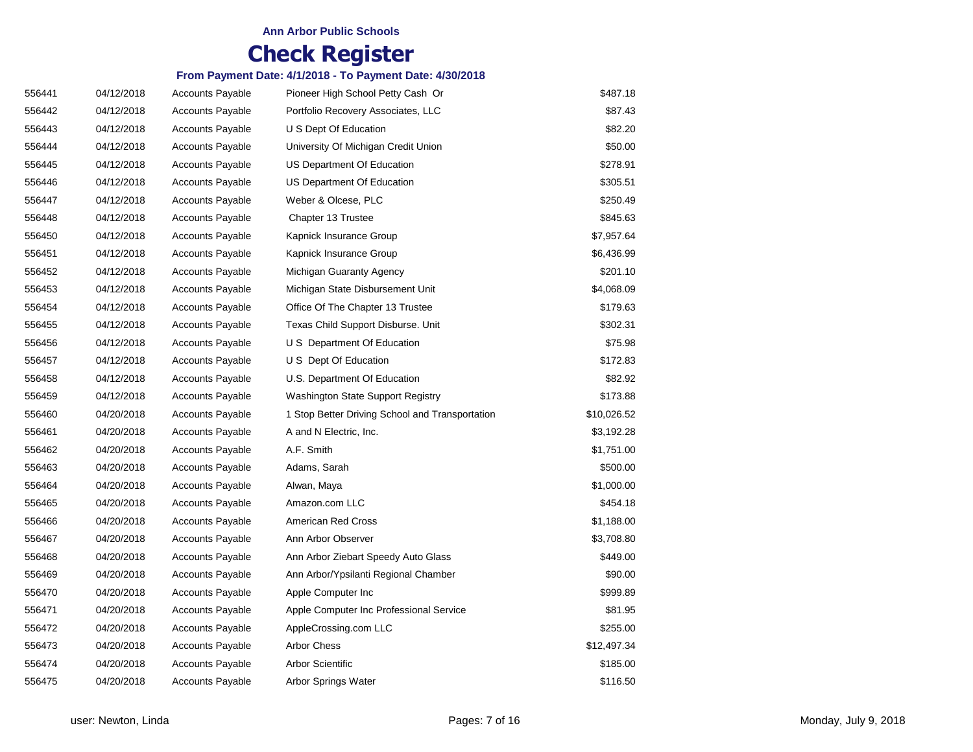#### **Ann Arbor Public Schools**

# **Check Register**

| 556441 | 04/12/2018 | Accounts Payable        | Pioneer High School Petty Cash Or               | \$487.18    |
|--------|------------|-------------------------|-------------------------------------------------|-------------|
| 556442 | 04/12/2018 | <b>Accounts Payable</b> | Portfolio Recovery Associates, LLC              | \$87.43     |
| 556443 | 04/12/2018 | <b>Accounts Payable</b> | U S Dept Of Education                           | \$82.20     |
| 556444 | 04/12/2018 | <b>Accounts Payable</b> | University Of Michigan Credit Union             | \$50.00     |
| 556445 | 04/12/2018 | <b>Accounts Payable</b> | US Department Of Education                      | \$278.91    |
| 556446 | 04/12/2018 | <b>Accounts Payable</b> | US Department Of Education                      | \$305.51    |
| 556447 | 04/12/2018 | <b>Accounts Payable</b> | Weber & Olcese, PLC                             | \$250.49    |
| 556448 | 04/12/2018 | <b>Accounts Payable</b> | Chapter 13 Trustee                              | \$845.63    |
| 556450 | 04/12/2018 | <b>Accounts Payable</b> | Kapnick Insurance Group                         | \$7,957.64  |
| 556451 | 04/12/2018 | <b>Accounts Payable</b> | Kapnick Insurance Group                         | \$6,436.99  |
| 556452 | 04/12/2018 | <b>Accounts Payable</b> | Michigan Guaranty Agency                        | \$201.10    |
| 556453 | 04/12/2018 | <b>Accounts Payable</b> | Michigan State Disbursement Unit                | \$4,068.09  |
| 556454 | 04/12/2018 | <b>Accounts Payable</b> | Office Of The Chapter 13 Trustee                | \$179.63    |
| 556455 | 04/12/2018 | <b>Accounts Payable</b> | Texas Child Support Disburse. Unit              | \$302.31    |
| 556456 | 04/12/2018 | <b>Accounts Payable</b> | U S Department Of Education                     | \$75.98     |
| 556457 | 04/12/2018 | <b>Accounts Payable</b> | U S Dept Of Education                           | \$172.83    |
| 556458 | 04/12/2018 | <b>Accounts Payable</b> | U.S. Department Of Education                    | \$82.92     |
| 556459 | 04/12/2018 | <b>Accounts Payable</b> | Washington State Support Registry               | \$173.88    |
| 556460 | 04/20/2018 | <b>Accounts Payable</b> | 1 Stop Better Driving School and Transportation | \$10,026.52 |
| 556461 | 04/20/2018 | <b>Accounts Payable</b> | A and N Electric, Inc.                          | \$3,192.28  |
| 556462 | 04/20/2018 | <b>Accounts Payable</b> | A.F. Smith                                      | \$1,751.00  |
| 556463 | 04/20/2018 | <b>Accounts Payable</b> | Adams, Sarah                                    | \$500.00    |
| 556464 | 04/20/2018 | <b>Accounts Payable</b> | Alwan, Maya                                     | \$1,000.00  |
| 556465 | 04/20/2018 | <b>Accounts Payable</b> | Amazon.com LLC                                  | \$454.18    |
| 556466 | 04/20/2018 | <b>Accounts Payable</b> | American Red Cross                              | \$1,188.00  |
| 556467 | 04/20/2018 | <b>Accounts Payable</b> | Ann Arbor Observer                              | \$3,708.80  |
| 556468 | 04/20/2018 | <b>Accounts Payable</b> | Ann Arbor Ziebart Speedy Auto Glass             | \$449.00    |
| 556469 | 04/20/2018 | <b>Accounts Payable</b> | Ann Arbor/Ypsilanti Regional Chamber            | \$90.00     |
| 556470 | 04/20/2018 | <b>Accounts Payable</b> | Apple Computer Inc                              | \$999.89    |
| 556471 | 04/20/2018 | <b>Accounts Payable</b> | Apple Computer Inc Professional Service         | \$81.95     |
| 556472 | 04/20/2018 | <b>Accounts Payable</b> | AppleCrossing.com LLC                           | \$255.00    |
| 556473 | 04/20/2018 | <b>Accounts Payable</b> | <b>Arbor Chess</b>                              | \$12,497.34 |
| 556474 | 04/20/2018 | <b>Accounts Payable</b> | <b>Arbor Scientific</b>                         | \$185.00    |
| 556475 | 04/20/2018 | <b>Accounts Payable</b> | Arbor Springs Water                             | \$116.50    |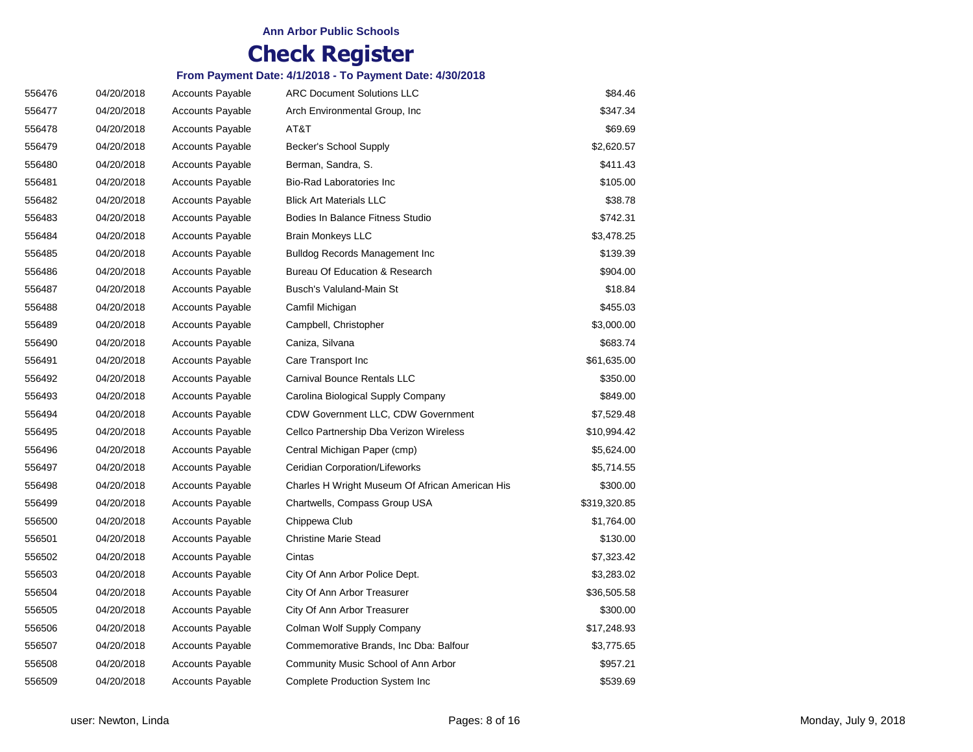| 556476 | 04/20/2018 | Accounts Payable        | <b>ARC Document Solutions LLC</b>               | \$84.46      |
|--------|------------|-------------------------|-------------------------------------------------|--------------|
| 556477 | 04/20/2018 | <b>Accounts Payable</b> | Arch Environmental Group, Inc.                  | \$347.34     |
| 556478 | 04/20/2018 | <b>Accounts Payable</b> | AT&T                                            | \$69.69      |
| 556479 | 04/20/2018 | <b>Accounts Payable</b> | Becker's School Supply                          | \$2,620.57   |
| 556480 | 04/20/2018 | <b>Accounts Payable</b> | Berman, Sandra, S.                              | \$411.43     |
| 556481 | 04/20/2018 | <b>Accounts Payable</b> | Bio-Rad Laboratories Inc                        | \$105.00     |
| 556482 | 04/20/2018 | <b>Accounts Payable</b> | <b>Blick Art Materials LLC</b>                  | \$38.78      |
| 556483 | 04/20/2018 | <b>Accounts Payable</b> | <b>Bodies In Balance Fitness Studio</b>         | \$742.31     |
| 556484 | 04/20/2018 | <b>Accounts Payable</b> | <b>Brain Monkeys LLC</b>                        | \$3,478.25   |
| 556485 | 04/20/2018 | <b>Accounts Payable</b> | <b>Bulldog Records Management Inc</b>           | \$139.39     |
| 556486 | 04/20/2018 | <b>Accounts Payable</b> | <b>Bureau Of Education &amp; Research</b>       | \$904.00     |
| 556487 | 04/20/2018 | <b>Accounts Payable</b> | Busch's Valuland-Main St                        | \$18.84      |
| 556488 | 04/20/2018 | <b>Accounts Payable</b> | Camfil Michigan                                 | \$455.03     |
| 556489 | 04/20/2018 | <b>Accounts Payable</b> | Campbell, Christopher                           | \$3,000.00   |
| 556490 | 04/20/2018 | <b>Accounts Payable</b> | Caniza, Silvana                                 | \$683.74     |
| 556491 | 04/20/2018 | <b>Accounts Payable</b> | Care Transport Inc                              | \$61,635.00  |
| 556492 | 04/20/2018 | <b>Accounts Payable</b> | Carnival Bounce Rentals LLC                     | \$350.00     |
| 556493 | 04/20/2018 | <b>Accounts Payable</b> | Carolina Biological Supply Company              | \$849.00     |
| 556494 | 04/20/2018 | <b>Accounts Payable</b> | <b>CDW Government LLC, CDW Government</b>       | \$7,529.48   |
| 556495 | 04/20/2018 | <b>Accounts Payable</b> | Cellco Partnership Dba Verizon Wireless         | \$10,994.42  |
| 556496 | 04/20/2018 | <b>Accounts Payable</b> | Central Michigan Paper (cmp)                    | \$5,624.00   |
| 556497 | 04/20/2018 | <b>Accounts Payable</b> | Ceridian Corporation/Lifeworks                  | \$5,714.55   |
| 556498 | 04/20/2018 | <b>Accounts Payable</b> | Charles H Wright Museum Of African American His | \$300.00     |
| 556499 | 04/20/2018 | <b>Accounts Payable</b> | Chartwells, Compass Group USA                   | \$319,320.85 |
| 556500 | 04/20/2018 | <b>Accounts Payable</b> | Chippewa Club                                   | \$1,764.00   |
| 556501 | 04/20/2018 | <b>Accounts Payable</b> | <b>Christine Marie Stead</b>                    | \$130.00     |
| 556502 | 04/20/2018 | <b>Accounts Payable</b> | Cintas                                          | \$7,323.42   |
| 556503 | 04/20/2018 | <b>Accounts Payable</b> | City Of Ann Arbor Police Dept.                  | \$3,283.02   |
| 556504 | 04/20/2018 | <b>Accounts Payable</b> | City Of Ann Arbor Treasurer                     | \$36,505.58  |
| 556505 | 04/20/2018 | <b>Accounts Payable</b> | City Of Ann Arbor Treasurer                     | \$300.00     |
| 556506 | 04/20/2018 | <b>Accounts Payable</b> | Colman Wolf Supply Company                      | \$17,248.93  |
| 556507 | 04/20/2018 | <b>Accounts Payable</b> | Commemorative Brands, Inc Dba: Balfour          | \$3,775.65   |
| 556508 | 04/20/2018 | <b>Accounts Payable</b> | Community Music School of Ann Arbor             | \$957.21     |
| 556509 | 04/20/2018 | <b>Accounts Payable</b> | <b>Complete Production System Inc</b>           | \$539.69     |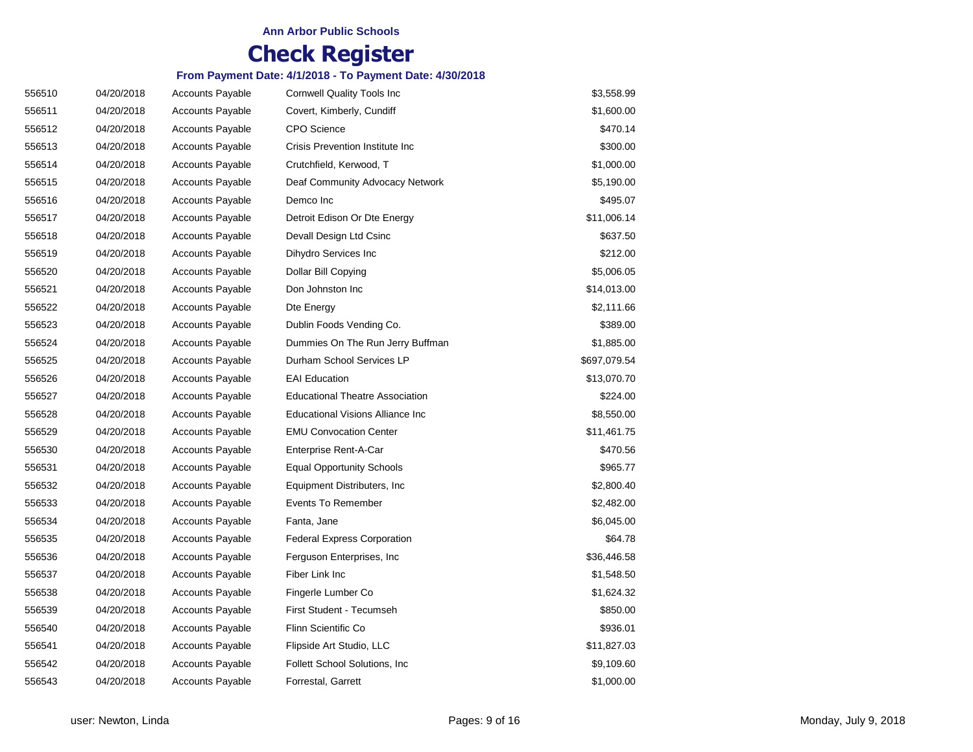| 556510 | 04/20/2018 | <b>Accounts Payable</b> | <b>Cornwell Quality Tools Inc</b>      | \$3,558.99   |
|--------|------------|-------------------------|----------------------------------------|--------------|
| 556511 | 04/20/2018 | <b>Accounts Payable</b> | Covert, Kimberly, Cundiff              | \$1,600.00   |
| 556512 | 04/20/2018 | <b>Accounts Payable</b> | <b>CPO</b> Science                     | \$470.14     |
| 556513 | 04/20/2018 | <b>Accounts Payable</b> | Crisis Prevention Institute Inc        | \$300.00     |
| 556514 | 04/20/2018 | <b>Accounts Payable</b> | Crutchfield, Kerwood, T                | \$1,000.00   |
| 556515 | 04/20/2018 | Accounts Payable        | Deaf Community Advocacy Network        | \$5,190.00   |
| 556516 | 04/20/2018 | <b>Accounts Payable</b> | Demco Inc                              | \$495.07     |
| 556517 | 04/20/2018 | <b>Accounts Payable</b> | Detroit Edison Or Dte Energy           | \$11,006.14  |
| 556518 | 04/20/2018 | <b>Accounts Payable</b> | Devall Design Ltd Csinc                | \$637.50     |
| 556519 | 04/20/2018 | <b>Accounts Payable</b> | Dihydro Services Inc                   | \$212.00     |
| 556520 | 04/20/2018 | <b>Accounts Payable</b> | Dollar Bill Copying                    | \$5,006.05   |
| 556521 | 04/20/2018 | <b>Accounts Payable</b> | Don Johnston Inc                       | \$14,013.00  |
| 556522 | 04/20/2018 | <b>Accounts Payable</b> | Dte Energy                             | \$2,111.66   |
| 556523 | 04/20/2018 | <b>Accounts Payable</b> | Dublin Foods Vending Co.               | \$389.00     |
| 556524 | 04/20/2018 | <b>Accounts Payable</b> | Dummies On The Run Jerry Buffman       | \$1,885.00   |
| 556525 | 04/20/2018 | <b>Accounts Payable</b> | Durham School Services LP              | \$697,079.54 |
| 556526 | 04/20/2018 | <b>Accounts Payable</b> | <b>EAI Education</b>                   | \$13,070.70  |
| 556527 | 04/20/2018 | <b>Accounts Payable</b> | <b>Educational Theatre Association</b> | \$224.00     |
| 556528 | 04/20/2018 | <b>Accounts Payable</b> | Educational Visions Alliance Inc       | \$8,550.00   |
| 556529 | 04/20/2018 | <b>Accounts Payable</b> | <b>EMU Convocation Center</b>          | \$11,461.75  |
| 556530 | 04/20/2018 | <b>Accounts Payable</b> | Enterprise Rent-A-Car                  | \$470.56     |
| 556531 | 04/20/2018 | <b>Accounts Payable</b> | <b>Equal Opportunity Schools</b>       | \$965.77     |
| 556532 | 04/20/2018 | <b>Accounts Payable</b> | Equipment Distributers, Inc.           | \$2,800.40   |
| 556533 | 04/20/2018 | <b>Accounts Payable</b> | <b>Events To Remember</b>              | \$2,482.00   |
| 556534 | 04/20/2018 | <b>Accounts Payable</b> | Fanta, Jane                            | \$6,045.00   |
| 556535 | 04/20/2018 | <b>Accounts Payable</b> | <b>Federal Express Corporation</b>     | \$64.78      |
| 556536 | 04/20/2018 | <b>Accounts Payable</b> | Ferguson Enterprises, Inc.             | \$36,446.58  |
| 556537 | 04/20/2018 | <b>Accounts Payable</b> | Fiber Link Inc                         | \$1,548.50   |
| 556538 | 04/20/2018 | <b>Accounts Payable</b> | Fingerle Lumber Co                     | \$1,624.32   |
| 556539 | 04/20/2018 | <b>Accounts Payable</b> | First Student - Tecumseh               | \$850.00     |
| 556540 | 04/20/2018 | <b>Accounts Payable</b> | Flinn Scientific Co                    | \$936.01     |
| 556541 | 04/20/2018 | <b>Accounts Payable</b> | Flipside Art Studio, LLC               | \$11,827.03  |
| 556542 | 04/20/2018 | <b>Accounts Payable</b> | Follett School Solutions, Inc.         | \$9,109.60   |
| 556543 | 04/20/2018 | <b>Accounts Payable</b> | Forrestal, Garrett                     | \$1,000.00   |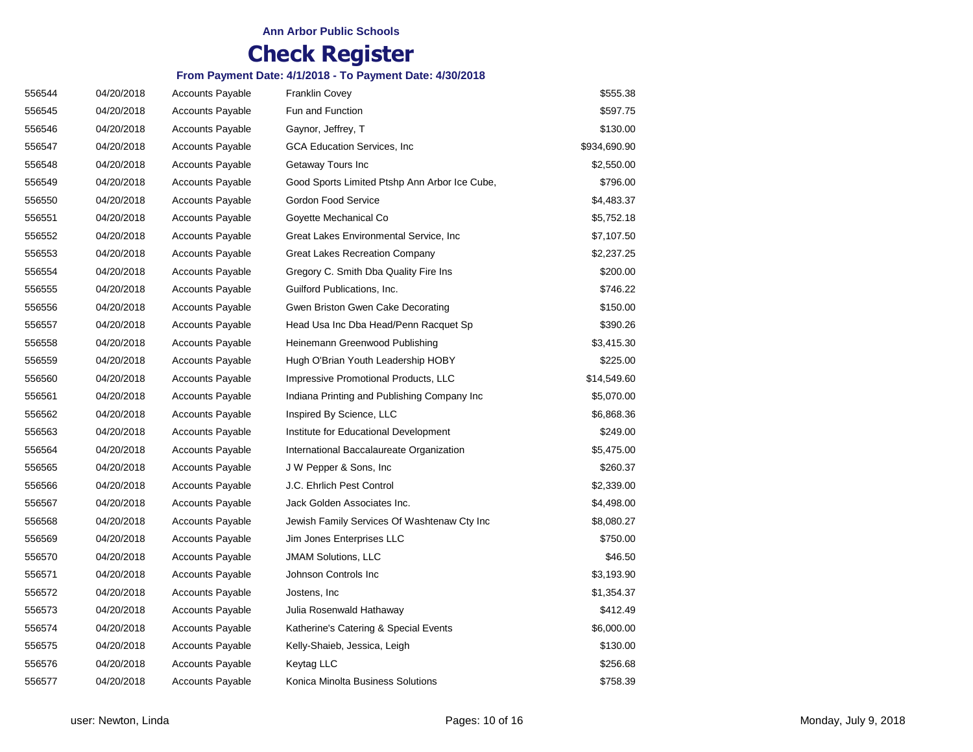| 556544 | 04/20/2018 | <b>Accounts Payable</b> | <b>Franklin Covey</b>                         | \$555.38     |
|--------|------------|-------------------------|-----------------------------------------------|--------------|
| 556545 | 04/20/2018 | <b>Accounts Payable</b> | Fun and Function                              | \$597.75     |
| 556546 | 04/20/2018 | <b>Accounts Payable</b> | Gaynor, Jeffrey, T                            | \$130.00     |
| 556547 | 04/20/2018 | <b>Accounts Payable</b> | GCA Education Services, Inc                   | \$934,690.90 |
| 556548 | 04/20/2018 | <b>Accounts Payable</b> | Getaway Tours Inc                             | \$2,550.00   |
| 556549 | 04/20/2018 | <b>Accounts Payable</b> | Good Sports Limited Ptshp Ann Arbor Ice Cube, | \$796.00     |
| 556550 | 04/20/2018 | <b>Accounts Payable</b> | Gordon Food Service                           | \$4,483.37   |
| 556551 | 04/20/2018 | <b>Accounts Payable</b> | Goyette Mechanical Co                         | \$5,752.18   |
| 556552 | 04/20/2018 | <b>Accounts Payable</b> | Great Lakes Environmental Service, Inc        | \$7,107.50   |
| 556553 | 04/20/2018 | Accounts Payable        | Great Lakes Recreation Company                | \$2,237.25   |
| 556554 | 04/20/2018 | <b>Accounts Payable</b> | Gregory C. Smith Dba Quality Fire Ins         | \$200.00     |
| 556555 | 04/20/2018 | <b>Accounts Payable</b> | Guilford Publications, Inc.                   | \$746.22     |
| 556556 | 04/20/2018 | <b>Accounts Payable</b> | Gwen Briston Gwen Cake Decorating             | \$150.00     |
| 556557 | 04/20/2018 | <b>Accounts Payable</b> | Head Usa Inc Dba Head/Penn Racquet Sp         | \$390.26     |
| 556558 | 04/20/2018 | <b>Accounts Payable</b> | Heinemann Greenwood Publishing                | \$3,415.30   |
| 556559 | 04/20/2018 | <b>Accounts Payable</b> | Hugh O'Brian Youth Leadership HOBY            | \$225.00     |
| 556560 | 04/20/2018 | <b>Accounts Payable</b> | Impressive Promotional Products, LLC          | \$14,549.60  |
| 556561 | 04/20/2018 | <b>Accounts Payable</b> | Indiana Printing and Publishing Company Inc   | \$5,070.00   |
| 556562 | 04/20/2018 | Accounts Payable        | Inspired By Science, LLC                      | \$6,868.36   |
| 556563 | 04/20/2018 | <b>Accounts Payable</b> | Institute for Educational Development         | \$249.00     |
| 556564 | 04/20/2018 | <b>Accounts Payable</b> | International Baccalaureate Organization      | \$5,475.00   |
| 556565 | 04/20/2018 | <b>Accounts Payable</b> | J W Pepper & Sons, Inc                        | \$260.37     |
| 556566 | 04/20/2018 | <b>Accounts Payable</b> | J.C. Ehrlich Pest Control                     | \$2,339.00   |
| 556567 | 04/20/2018 | <b>Accounts Payable</b> | Jack Golden Associates Inc.                   | \$4,498.00   |
| 556568 | 04/20/2018 | <b>Accounts Payable</b> | Jewish Family Services Of Washtenaw Cty Inc   | \$8,080.27   |
| 556569 | 04/20/2018 | <b>Accounts Payable</b> | Jim Jones Enterprises LLC                     | \$750.00     |
| 556570 | 04/20/2018 | <b>Accounts Payable</b> | <b>JMAM Solutions, LLC</b>                    | \$46.50      |
| 556571 | 04/20/2018 | <b>Accounts Payable</b> | Johnson Controls Inc                          | \$3,193.90   |
| 556572 | 04/20/2018 | <b>Accounts Payable</b> | Jostens, Inc                                  | \$1,354.37   |
| 556573 | 04/20/2018 | <b>Accounts Payable</b> | Julia Rosenwald Hathaway                      | \$412.49     |
| 556574 | 04/20/2018 | <b>Accounts Payable</b> | Katherine's Catering & Special Events         | \$6,000.00   |
| 556575 | 04/20/2018 | <b>Accounts Payable</b> | Kelly-Shaieb, Jessica, Leigh                  | \$130.00     |
| 556576 | 04/20/2018 | <b>Accounts Payable</b> | Keytag LLC                                    | \$256.68     |
| 556577 | 04/20/2018 | <b>Accounts Payable</b> | Konica Minolta Business Solutions             | \$758.39     |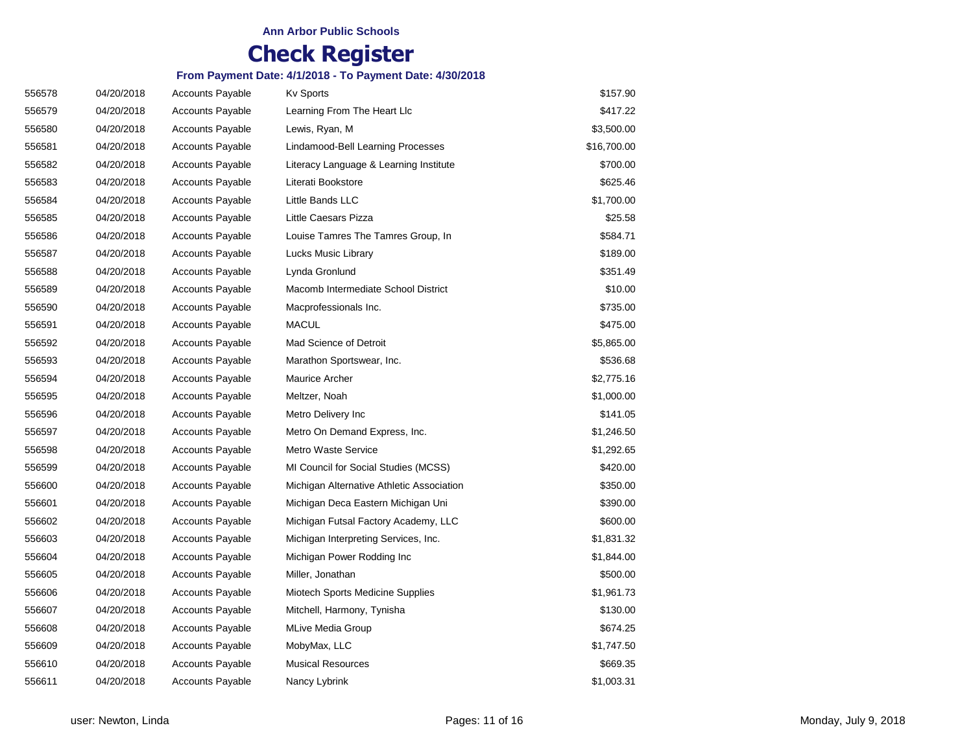| 556578 | 04/20/2018 | <b>Accounts Payable</b> | <b>Kv Sports</b>                          | \$157.90    |
|--------|------------|-------------------------|-------------------------------------------|-------------|
| 556579 | 04/20/2018 | <b>Accounts Payable</b> | Learning From The Heart Llc               | \$417.22    |
| 556580 | 04/20/2018 | <b>Accounts Payable</b> | Lewis, Ryan, M                            | \$3,500.00  |
| 556581 | 04/20/2018 | <b>Accounts Payable</b> | Lindamood-Bell Learning Processes         | \$16,700.00 |
| 556582 | 04/20/2018 | <b>Accounts Payable</b> | Literacy Language & Learning Institute    | \$700.00    |
| 556583 | 04/20/2018 | <b>Accounts Payable</b> | Literati Bookstore                        | \$625.46    |
| 556584 | 04/20/2018 | <b>Accounts Payable</b> | Little Bands LLC                          | \$1,700.00  |
| 556585 | 04/20/2018 | <b>Accounts Payable</b> | Little Caesars Pizza                      | \$25.58     |
| 556586 | 04/20/2018 | <b>Accounts Payable</b> | Louise Tamres The Tamres Group, In        | \$584.71    |
| 556587 | 04/20/2018 | <b>Accounts Payable</b> | Lucks Music Library                       | \$189.00    |
| 556588 | 04/20/2018 | <b>Accounts Payable</b> | Lynda Gronlund                            | \$351.49    |
| 556589 | 04/20/2018 | <b>Accounts Payable</b> | Macomb Intermediate School District       | \$10.00     |
| 556590 | 04/20/2018 | <b>Accounts Payable</b> | Macprofessionals Inc.                     | \$735.00    |
| 556591 | 04/20/2018 | <b>Accounts Payable</b> | <b>MACUL</b>                              | \$475.00    |
| 556592 | 04/20/2018 | <b>Accounts Payable</b> | Mad Science of Detroit                    | \$5,865.00  |
| 556593 | 04/20/2018 | <b>Accounts Payable</b> | Marathon Sportswear, Inc.                 | \$536.68    |
| 556594 | 04/20/2018 | <b>Accounts Payable</b> | <b>Maurice Archer</b>                     | \$2,775.16  |
| 556595 | 04/20/2018 | <b>Accounts Payable</b> | Meltzer, Noah                             | \$1,000.00  |
| 556596 | 04/20/2018 | <b>Accounts Payable</b> | Metro Delivery Inc                        | \$141.05    |
| 556597 | 04/20/2018 | <b>Accounts Payable</b> | Metro On Demand Express, Inc.             | \$1,246.50  |
| 556598 | 04/20/2018 | <b>Accounts Payable</b> | <b>Metro Waste Service</b>                | \$1,292.65  |
| 556599 | 04/20/2018 | <b>Accounts Payable</b> | MI Council for Social Studies (MCSS)      | \$420.00    |
| 556600 | 04/20/2018 | <b>Accounts Payable</b> | Michigan Alternative Athletic Association | \$350.00    |
| 556601 | 04/20/2018 | <b>Accounts Payable</b> | Michigan Deca Eastern Michigan Uni        | \$390.00    |
| 556602 | 04/20/2018 | <b>Accounts Payable</b> | Michigan Futsal Factory Academy, LLC      | \$600.00    |
| 556603 | 04/20/2018 | <b>Accounts Payable</b> | Michigan Interpreting Services, Inc.      | \$1,831.32  |
| 556604 | 04/20/2018 | <b>Accounts Payable</b> | Michigan Power Rodding Inc                | \$1,844.00  |
| 556605 | 04/20/2018 | <b>Accounts Payable</b> | Miller, Jonathan                          | \$500.00    |
| 556606 | 04/20/2018 | <b>Accounts Payable</b> | Miotech Sports Medicine Supplies          | \$1,961.73  |
| 556607 | 04/20/2018 | <b>Accounts Payable</b> | Mitchell, Harmony, Tynisha                | \$130.00    |
| 556608 | 04/20/2018 | <b>Accounts Payable</b> | <b>MLive Media Group</b>                  | \$674.25    |
| 556609 | 04/20/2018 | <b>Accounts Payable</b> | MobyMax, LLC                              | \$1,747.50  |
| 556610 | 04/20/2018 | <b>Accounts Payable</b> | <b>Musical Resources</b>                  | \$669.35    |
| 556611 | 04/20/2018 | <b>Accounts Payable</b> | Nancy Lybrink                             | \$1,003.31  |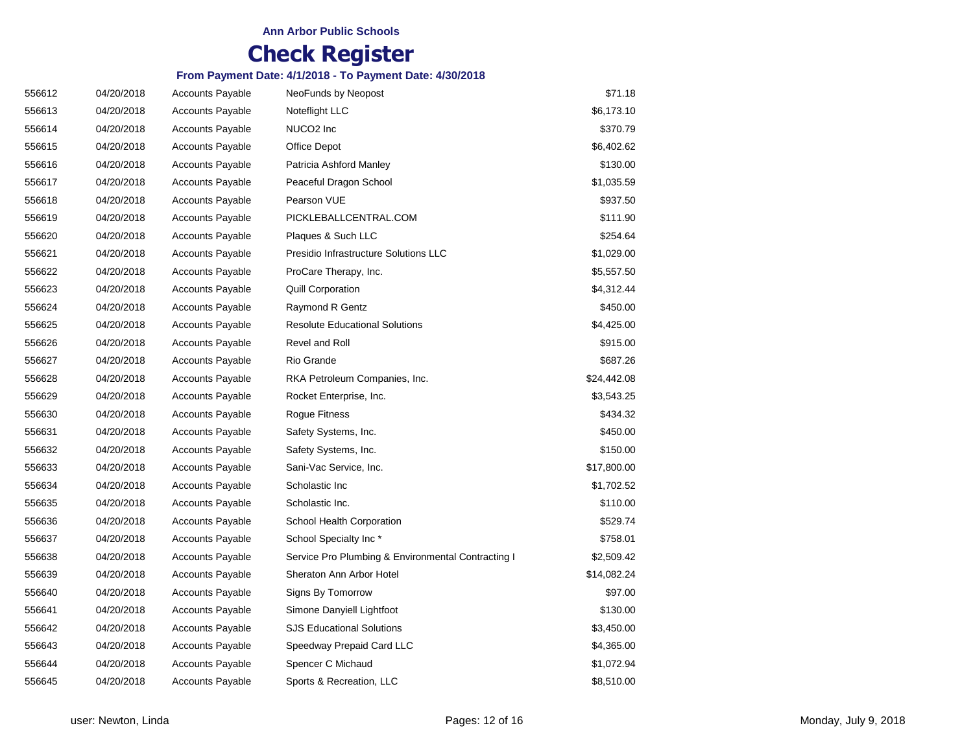| 556612 | 04/20/2018 | <b>Accounts Payable</b> | NeoFunds by Neopost                                | \$71.18     |
|--------|------------|-------------------------|----------------------------------------------------|-------------|
| 556613 | 04/20/2018 | <b>Accounts Payable</b> | Noteflight LLC                                     | \$6,173.10  |
| 556614 | 04/20/2018 | <b>Accounts Payable</b> | NUCO <sub>2</sub> Inc                              | \$370.79    |
| 556615 | 04/20/2018 | <b>Accounts Payable</b> | Office Depot                                       | \$6,402.62  |
| 556616 | 04/20/2018 | <b>Accounts Payable</b> | Patricia Ashford Manley                            | \$130.00    |
| 556617 | 04/20/2018 | <b>Accounts Payable</b> | Peaceful Dragon School                             | \$1,035.59  |
| 556618 | 04/20/2018 | <b>Accounts Payable</b> | Pearson VUE                                        | \$937.50    |
| 556619 | 04/20/2018 | <b>Accounts Payable</b> | PICKLEBALLCENTRAL.COM                              | \$111.90    |
| 556620 | 04/20/2018 | <b>Accounts Payable</b> | Plaques & Such LLC                                 | \$254.64    |
| 556621 | 04/20/2018 | <b>Accounts Payable</b> | Presidio Infrastructure Solutions LLC              | \$1,029.00  |
| 556622 | 04/20/2018 | <b>Accounts Payable</b> | ProCare Therapy, Inc.                              | \$5,557.50  |
| 556623 | 04/20/2018 | <b>Accounts Payable</b> | <b>Quill Corporation</b>                           | \$4,312.44  |
| 556624 | 04/20/2018 | <b>Accounts Payable</b> | <b>Raymond R Gentz</b>                             | \$450.00    |
| 556625 | 04/20/2018 | <b>Accounts Payable</b> | <b>Resolute Educational Solutions</b>              | \$4,425.00  |
| 556626 | 04/20/2018 | <b>Accounts Payable</b> | Revel and Roll                                     | \$915.00    |
| 556627 | 04/20/2018 | <b>Accounts Payable</b> | Rio Grande                                         | \$687.26    |
| 556628 | 04/20/2018 | <b>Accounts Payable</b> | RKA Petroleum Companies, Inc.                      | \$24,442.08 |
| 556629 | 04/20/2018 | <b>Accounts Payable</b> | Rocket Enterprise, Inc.                            | \$3,543.25  |
| 556630 | 04/20/2018 | <b>Accounts Payable</b> | Rogue Fitness                                      | \$434.32    |
| 556631 | 04/20/2018 | <b>Accounts Payable</b> | Safety Systems, Inc.                               | \$450.00    |
| 556632 | 04/20/2018 | <b>Accounts Payable</b> | Safety Systems, Inc.                               | \$150.00    |
| 556633 | 04/20/2018 | <b>Accounts Payable</b> | Sani-Vac Service, Inc.                             | \$17,800.00 |
| 556634 | 04/20/2018 | <b>Accounts Payable</b> | Scholastic Inc                                     | \$1,702.52  |
| 556635 | 04/20/2018 | <b>Accounts Payable</b> | Scholastic Inc.                                    | \$110.00    |
| 556636 | 04/20/2018 | <b>Accounts Payable</b> | School Health Corporation                          | \$529.74    |
| 556637 | 04/20/2018 | <b>Accounts Payable</b> | School Specialty Inc*                              | \$758.01    |
| 556638 | 04/20/2018 | <b>Accounts Payable</b> | Service Pro Plumbing & Environmental Contracting I | \$2,509.42  |
| 556639 | 04/20/2018 | <b>Accounts Payable</b> | Sheraton Ann Arbor Hotel                           | \$14,082.24 |
| 556640 | 04/20/2018 | <b>Accounts Payable</b> | Signs By Tomorrow                                  | \$97.00     |
| 556641 | 04/20/2018 | <b>Accounts Payable</b> | Simone Danyiell Lightfoot                          | \$130.00    |
| 556642 | 04/20/2018 | <b>Accounts Payable</b> | <b>SJS Educational Solutions</b>                   | \$3,450.00  |
| 556643 | 04/20/2018 | <b>Accounts Payable</b> | Speedway Prepaid Card LLC                          | \$4,365.00  |
| 556644 | 04/20/2018 | <b>Accounts Payable</b> | Spencer C Michaud                                  | \$1,072.94  |
| 556645 | 04/20/2018 | <b>Accounts Payable</b> | Sports & Recreation, LLC                           | \$8,510.00  |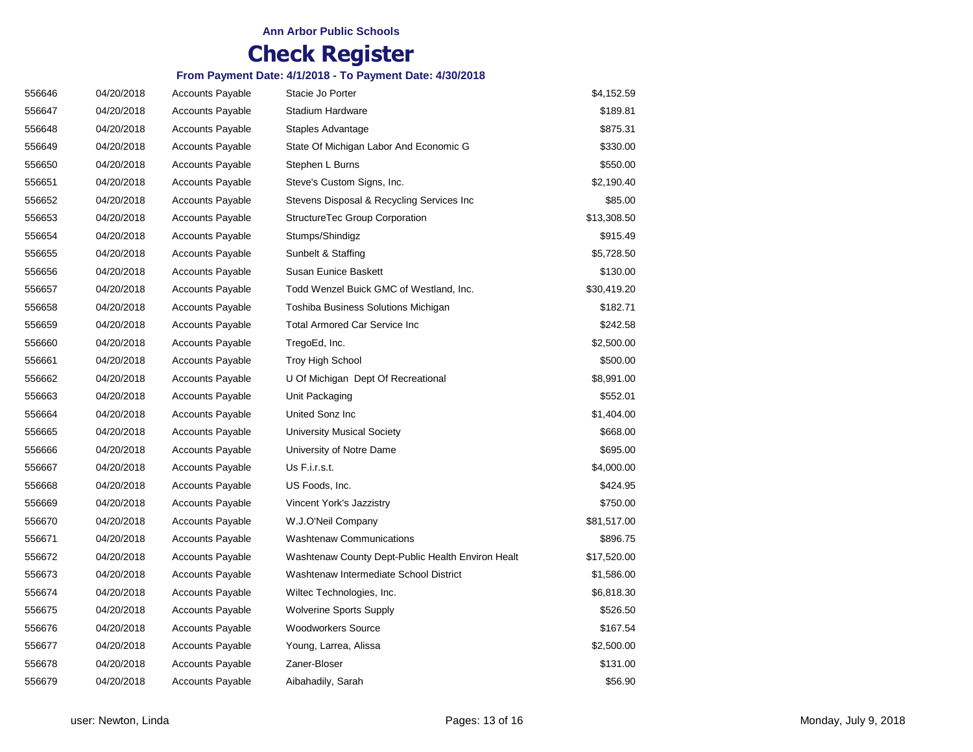| 556646 | 04/20/2018 | <b>Accounts Payable</b> | Stacie Jo Porter                                  | \$4,152.59  |
|--------|------------|-------------------------|---------------------------------------------------|-------------|
| 556647 | 04/20/2018 | <b>Accounts Payable</b> | Stadium Hardware                                  | \$189.81    |
| 556648 | 04/20/2018 | <b>Accounts Payable</b> | Staples Advantage                                 | \$875.31    |
| 556649 | 04/20/2018 | <b>Accounts Payable</b> | State Of Michigan Labor And Economic G            | \$330.00    |
| 556650 | 04/20/2018 | <b>Accounts Payable</b> | Stephen L Burns                                   | \$550.00    |
| 556651 | 04/20/2018 | <b>Accounts Payable</b> | Steve's Custom Signs, Inc.                        | \$2,190.40  |
| 556652 | 04/20/2018 | <b>Accounts Payable</b> | Stevens Disposal & Recycling Services Inc         | \$85.00     |
| 556653 | 04/20/2018 | <b>Accounts Payable</b> | StructureTec Group Corporation                    | \$13,308.50 |
| 556654 | 04/20/2018 | <b>Accounts Payable</b> | Stumps/Shindigz                                   | \$915.49    |
| 556655 | 04/20/2018 | <b>Accounts Payable</b> | Sunbelt & Staffing                                | \$5,728.50  |
| 556656 | 04/20/2018 | <b>Accounts Payable</b> | <b>Susan Eunice Baskett</b>                       | \$130.00    |
| 556657 | 04/20/2018 | <b>Accounts Payable</b> | Todd Wenzel Buick GMC of Westland, Inc.           | \$30,419.20 |
| 556658 | 04/20/2018 | <b>Accounts Payable</b> | Toshiba Business Solutions Michigan               | \$182.71    |
| 556659 | 04/20/2018 | <b>Accounts Payable</b> | <b>Total Armored Car Service Inc</b>              | \$242.58    |
| 556660 | 04/20/2018 | <b>Accounts Payable</b> | TregoEd, Inc.                                     | \$2,500.00  |
| 556661 | 04/20/2018 | <b>Accounts Payable</b> | Troy High School                                  | \$500.00    |
| 556662 | 04/20/2018 | <b>Accounts Payable</b> | U Of Michigan Dept Of Recreational                | \$8,991.00  |
| 556663 | 04/20/2018 | <b>Accounts Payable</b> | Unit Packaging                                    | \$552.01    |
| 556664 | 04/20/2018 | <b>Accounts Payable</b> | United Sonz Inc                                   | \$1,404.00  |
| 556665 | 04/20/2018 | <b>Accounts Payable</b> | <b>University Musical Society</b>                 | \$668.00    |
| 556666 | 04/20/2018 | <b>Accounts Payable</b> | University of Notre Dame                          | \$695.00    |
| 556667 | 04/20/2018 | <b>Accounts Payable</b> | Us F.i.r.s.t.                                     | \$4,000.00  |
| 556668 | 04/20/2018 | <b>Accounts Payable</b> | US Foods, Inc.                                    | \$424.95    |
| 556669 | 04/20/2018 | <b>Accounts Payable</b> | Vincent York's Jazzistry                          | \$750.00    |
| 556670 | 04/20/2018 | <b>Accounts Payable</b> | W.J.O'Neil Company                                | \$81,517.00 |
| 556671 | 04/20/2018 | <b>Accounts Payable</b> | <b>Washtenaw Communications</b>                   | \$896.75    |
| 556672 | 04/20/2018 | <b>Accounts Payable</b> | Washtenaw County Dept-Public Health Environ Healt | \$17,520.00 |
| 556673 | 04/20/2018 | <b>Accounts Payable</b> | Washtenaw Intermediate School District            | \$1,586.00  |
| 556674 | 04/20/2018 | <b>Accounts Payable</b> | Wiltec Technologies, Inc.                         | \$6,818.30  |
| 556675 | 04/20/2018 | <b>Accounts Payable</b> | <b>Wolverine Sports Supply</b>                    | \$526.50    |
| 556676 | 04/20/2018 | <b>Accounts Payable</b> | <b>Woodworkers Source</b>                         | \$167.54    |
| 556677 | 04/20/2018 | <b>Accounts Payable</b> | Young, Larrea, Alissa                             | \$2,500.00  |
| 556678 | 04/20/2018 | <b>Accounts Payable</b> | Zaner-Bloser                                      | \$131.00    |
| 556679 | 04/20/2018 | <b>Accounts Payable</b> | Aibahadily, Sarah                                 | \$56.90     |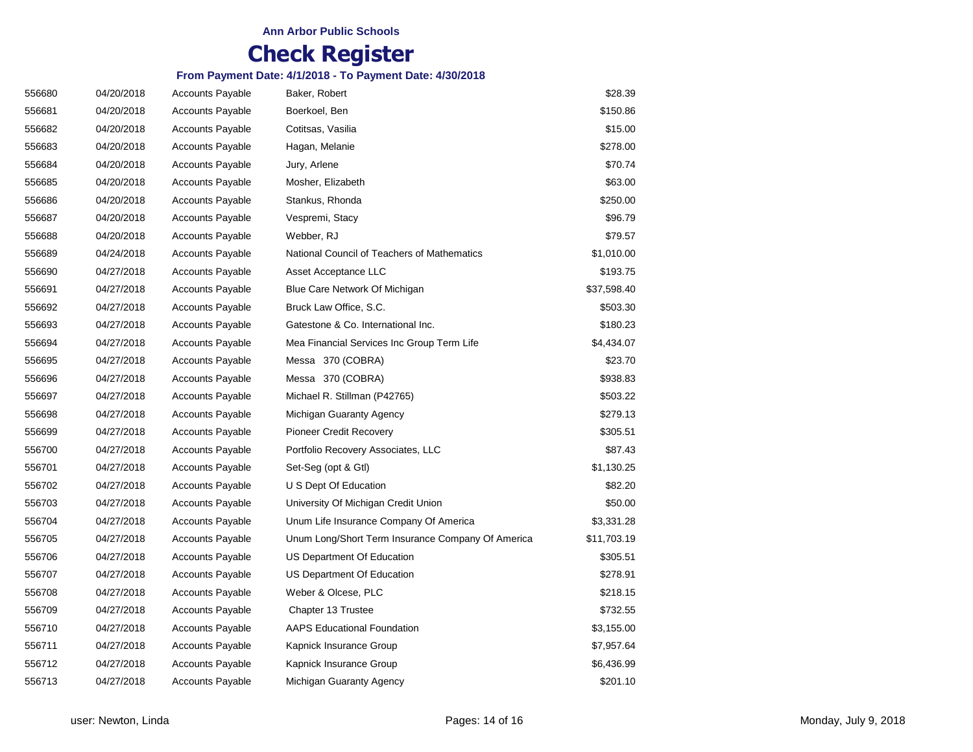| 556680 | 04/20/2018 | <b>Accounts Payable</b> | Baker, Robert                                     | \$28.39     |
|--------|------------|-------------------------|---------------------------------------------------|-------------|
| 556681 | 04/20/2018 | <b>Accounts Payable</b> | Boerkoel, Ben                                     | \$150.86    |
| 556682 | 04/20/2018 | <b>Accounts Payable</b> | Cotitsas, Vasilia                                 | \$15.00     |
| 556683 | 04/20/2018 | <b>Accounts Payable</b> | Hagan, Melanie                                    | \$278.00    |
| 556684 | 04/20/2018 | <b>Accounts Payable</b> | Jury, Arlene                                      | \$70.74     |
| 556685 | 04/20/2018 | <b>Accounts Payable</b> | Mosher, Elizabeth                                 | \$63.00     |
| 556686 | 04/20/2018 | <b>Accounts Payable</b> | Stankus, Rhonda                                   | \$250.00    |
| 556687 | 04/20/2018 | <b>Accounts Payable</b> | Vespremi, Stacy                                   | \$96.79     |
| 556688 | 04/20/2018 | <b>Accounts Payable</b> | Webber, RJ                                        | \$79.57     |
| 556689 | 04/24/2018 | <b>Accounts Payable</b> | National Council of Teachers of Mathematics       | \$1,010.00  |
| 556690 | 04/27/2018 | <b>Accounts Payable</b> | Asset Acceptance LLC                              | \$193.75    |
| 556691 | 04/27/2018 | <b>Accounts Payable</b> | Blue Care Network Of Michigan                     | \$37,598.40 |
| 556692 | 04/27/2018 | <b>Accounts Payable</b> | Bruck Law Office, S.C.                            | \$503.30    |
| 556693 | 04/27/2018 | <b>Accounts Payable</b> | Gatestone & Co. International Inc.                | \$180.23    |
| 556694 | 04/27/2018 | <b>Accounts Payable</b> | Mea Financial Services Inc Group Term Life        | \$4,434.07  |
| 556695 | 04/27/2018 | <b>Accounts Payable</b> | Messa 370 (COBRA)                                 | \$23.70     |
| 556696 | 04/27/2018 | <b>Accounts Payable</b> | Messa 370 (COBRA)                                 | \$938.83    |
| 556697 | 04/27/2018 | <b>Accounts Payable</b> | Michael R. Stillman (P42765)                      | \$503.22    |
| 556698 | 04/27/2018 | <b>Accounts Payable</b> | Michigan Guaranty Agency                          | \$279.13    |
| 556699 | 04/27/2018 | <b>Accounts Payable</b> | <b>Pioneer Credit Recovery</b>                    | \$305.51    |
| 556700 | 04/27/2018 | <b>Accounts Payable</b> | Portfolio Recovery Associates, LLC                | \$87.43     |
| 556701 | 04/27/2018 | <b>Accounts Payable</b> | Set-Seg (opt & Gtl)                               | \$1,130.25  |
| 556702 | 04/27/2018 | <b>Accounts Payable</b> | U S Dept Of Education                             | \$82.20     |
| 556703 | 04/27/2018 | <b>Accounts Payable</b> | University Of Michigan Credit Union               | \$50.00     |
| 556704 | 04/27/2018 | <b>Accounts Payable</b> | Unum Life Insurance Company Of America            | \$3,331.28  |
| 556705 | 04/27/2018 | <b>Accounts Payable</b> | Unum Long/Short Term Insurance Company Of America | \$11,703.19 |
| 556706 | 04/27/2018 | <b>Accounts Payable</b> | US Department Of Education                        | \$305.51    |
| 556707 | 04/27/2018 | <b>Accounts Payable</b> | US Department Of Education                        | \$278.91    |
| 556708 | 04/27/2018 | <b>Accounts Payable</b> | Weber & Olcese, PLC                               | \$218.15    |
| 556709 | 04/27/2018 | <b>Accounts Payable</b> | Chapter 13 Trustee                                | \$732.55    |
| 556710 | 04/27/2018 | <b>Accounts Payable</b> | <b>AAPS Educational Foundation</b>                | \$3,155.00  |
| 556711 | 04/27/2018 | <b>Accounts Payable</b> | Kapnick Insurance Group                           | \$7,957.64  |
| 556712 | 04/27/2018 | <b>Accounts Payable</b> | Kapnick Insurance Group                           | \$6,436.99  |
| 556713 | 04/27/2018 | <b>Accounts Payable</b> | Michigan Guaranty Agency                          | \$201.10    |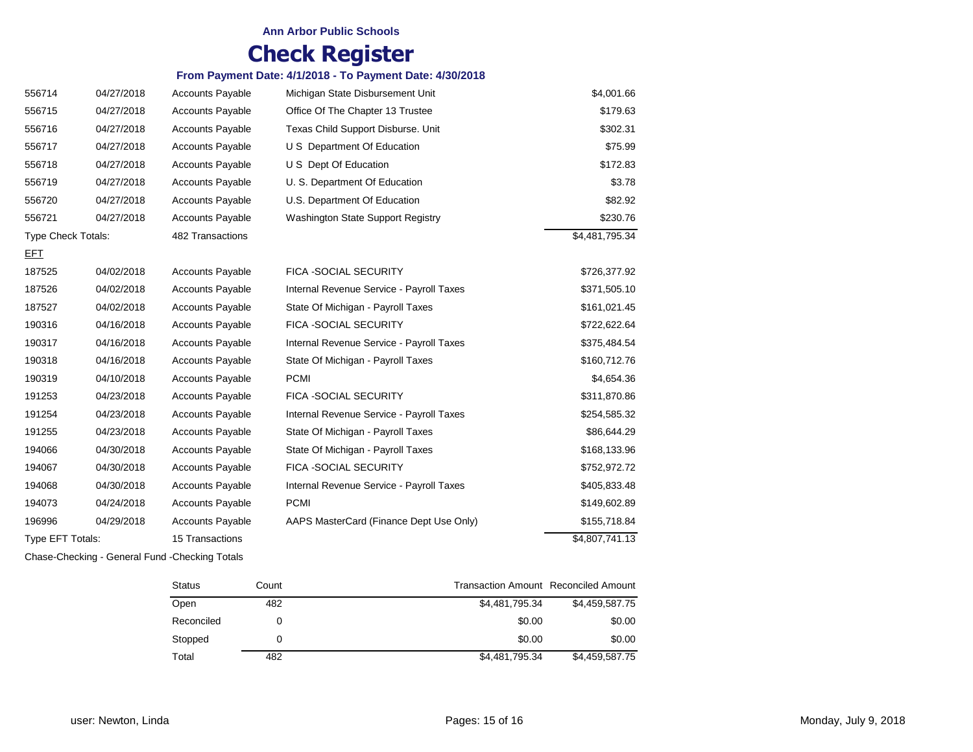#### **Ann Arbor Public Schools**

# **Check Register**

#### **From Payment Date: 4/1/2018 - To Payment Date: 4/30/2018**

| 556714                    | 04/27/2018 | <b>Accounts Payable</b> | Michigan State Disbursement Unit         | \$4,001.66     |
|---------------------------|------------|-------------------------|------------------------------------------|----------------|
| 556715                    | 04/27/2018 | <b>Accounts Payable</b> | Office Of The Chapter 13 Trustee         | \$179.63       |
| 556716                    | 04/27/2018 | <b>Accounts Payable</b> | Texas Child Support Disburse. Unit       | \$302.31       |
| 556717                    | 04/27/2018 | <b>Accounts Payable</b> | U S Department Of Education              | \$75.99        |
| 556718                    | 04/27/2018 | <b>Accounts Payable</b> | U S Dept Of Education                    | \$172.83       |
| 556719                    | 04/27/2018 | <b>Accounts Payable</b> | U. S. Department Of Education            | \$3.78         |
| 556720                    | 04/27/2018 | <b>Accounts Payable</b> | U.S. Department Of Education             | \$82.92        |
| 556721                    | 04/27/2018 | <b>Accounts Payable</b> | Washington State Support Registry        | \$230.76       |
| <b>Type Check Totals:</b> |            | 482 Transactions        |                                          | \$4,481,795.34 |
| <u>EFT</u>                |            |                         |                                          |                |
| 187525                    | 04/02/2018 | <b>Accounts Payable</b> | FICA -SOCIAL SECURITY                    | \$726,377.92   |
| 187526                    | 04/02/2018 | <b>Accounts Payable</b> | Internal Revenue Service - Payroll Taxes | \$371,505.10   |
| 187527                    | 04/02/2018 | <b>Accounts Payable</b> | State Of Michigan - Payroll Taxes        | \$161,021.45   |
| 190316                    | 04/16/2018 | <b>Accounts Payable</b> | FICA - SOCIAL SECURITY                   | \$722,622.64   |
| 190317                    | 04/16/2018 | <b>Accounts Payable</b> | Internal Revenue Service - Payroll Taxes | \$375,484.54   |
| 190318                    | 04/16/2018 | <b>Accounts Payable</b> | State Of Michigan - Payroll Taxes        | \$160,712.76   |
| 190319                    | 04/10/2018 | <b>Accounts Payable</b> | <b>PCMI</b>                              | \$4,654.36     |
| 191253                    | 04/23/2018 | <b>Accounts Payable</b> | FICA - SOCIAL SECURITY                   | \$311,870.86   |
| 191254                    | 04/23/2018 | <b>Accounts Payable</b> | Internal Revenue Service - Payroll Taxes | \$254,585.32   |
| 191255                    | 04/23/2018 | <b>Accounts Payable</b> | State Of Michigan - Payroll Taxes        | \$86,644.29    |
| 194066                    | 04/30/2018 | <b>Accounts Payable</b> | State Of Michigan - Payroll Taxes        | \$168,133.96   |
| 194067                    | 04/30/2018 | <b>Accounts Payable</b> | FICA - SOCIAL SECURITY                   | \$752,972.72   |
| 194068                    | 04/30/2018 | <b>Accounts Payable</b> | Internal Revenue Service - Payroll Taxes | \$405,833.48   |
| 194073                    | 04/24/2018 | <b>Accounts Payable</b> | <b>PCMI</b>                              | \$149,602.89   |
| 196996                    | 04/29/2018 | <b>Accounts Payable</b> | AAPS MasterCard (Finance Dept Use Only)  | \$155,718.84   |
| Type EFT Totals:          |            | 15 Transactions         |                                          | \$4,807,741.13 |

Chase-Checking - General Fund -Checking Totals

| <b>Status</b> | Count | Transaction Amount Reconciled Amount |                |
|---------------|-------|--------------------------------------|----------------|
| Open          | 482   | \$4,481,795.34                       | \$4,459,587.75 |
| Reconciled    |       | \$0.00                               | \$0.00         |
| Stopped       |       | \$0.00                               | \$0.00         |
| Total         | 482   | \$4,481,795.34                       | \$4,459,587.75 |